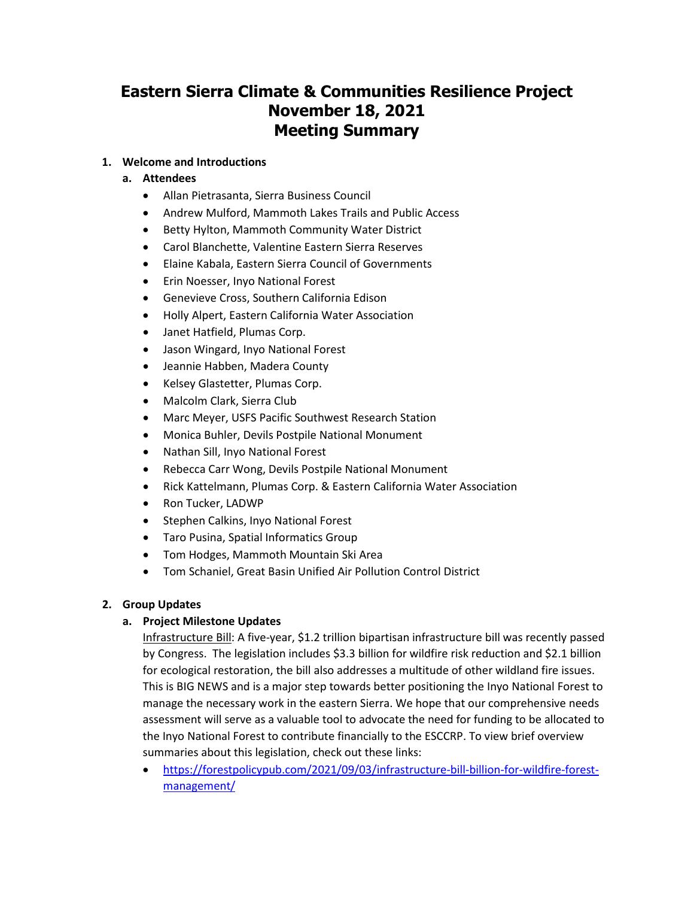# **Eastern Sierra Climate & Communities Resilience Project November 18, 2021 Meeting Summary**

## **1. Welcome and Introductions**

# **a. Attendees**

- Allan Pietrasanta, Sierra Business Council
- Andrew Mulford, Mammoth Lakes Trails and Public Access
- Betty Hylton, Mammoth Community Water District
- Carol Blanchette, Valentine Eastern Sierra Reserves
- Elaine Kabala, Eastern Sierra Council of Governments
- Erin Noesser, Inyo National Forest
- Genevieve Cross, Southern California Edison
- Holly Alpert, Eastern California Water Association
- Janet Hatfield, Plumas Corp.
- Jason Wingard, Inyo National Forest
- Jeannie Habben, Madera County
- Kelsey Glastetter, Plumas Corp.
- Malcolm Clark, Sierra Club
- Marc Meyer, USFS Pacific Southwest Research Station
- Monica Buhler, Devils Postpile National Monument
- Nathan Sill, Inyo National Forest
- Rebecca Carr Wong, Devils Postpile National Monument
- Rick Kattelmann, Plumas Corp. & Eastern California Water Association
- Ron Tucker, LADWP
- Stephen Calkins, Inyo National Forest
- Taro Pusina, Spatial Informatics Group
- Tom Hodges, Mammoth Mountain Ski Area
- Tom Schaniel, Great Basin Unified Air Pollution Control District

# **2. Group Updates**

# **a. Project Milestone Updates**

Infrastructure Bill: A five-year, \$1.2 trillion bipartisan infrastructure bill was recently passed by Congress. The legislation includes \$3.3 billion for wildfire risk reduction and \$2.1 billion for ecological restoration, the bill also addresses a multitude of other wildland fire issues. This is BIG NEWS and is a major step towards better positioning the Inyo National Forest to manage the necessary work in the eastern Sierra. We hope that our comprehensive needs assessment will serve as a valuable tool to advocate the need for funding to be allocated to the Inyo National Forest to contribute financially to the ESCCRP. To view brief overview summaries about this legislation, check out these links:

• [https://forestpolicypub.com/2021/09/03/infrastructure-bill-billion-for-wildfire-forest](https://forestpolicypub.com/2021/09/03/infrastructure-bill-billion-for-wildfire-forest-management/)[management/](https://forestpolicypub.com/2021/09/03/infrastructure-bill-billion-for-wildfire-forest-management/)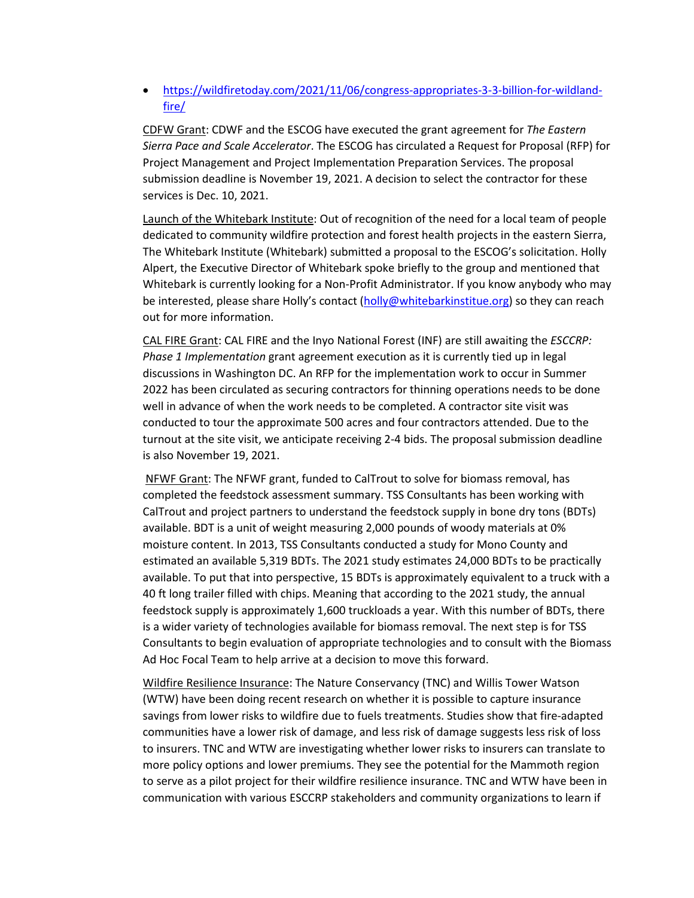• [https://wildfiretoday.com/2021/11/06/congress-appropriates-3-3-billion-for-wildland](https://wildfiretoday.com/2021/11/06/congress-appropriates-3-3-billion-for-wildland-fire/)[fire/](https://wildfiretoday.com/2021/11/06/congress-appropriates-3-3-billion-for-wildland-fire/)

CDFW Grant: CDWF and the ESCOG have executed the grant agreement for *The Eastern Sierra Pace and Scale Accelerator*. The ESCOG has circulated a Request for Proposal (RFP) for Project Management and Project Implementation Preparation Services. The proposal submission deadline is November 19, 2021. A decision to select the contractor for these services is Dec. 10, 2021.

Launch of the Whitebark Institute: Out of recognition of the need for a local team of people dedicated to community wildfire protection and forest health projects in the eastern Sierra, The Whitebark Institute (Whitebark) submitted a proposal to the ESCOG's solicitation. Holly Alpert, the Executive Director of Whitebark spoke briefly to the group and mentioned that Whitebark is currently looking for a Non-Profit Administrator. If you know anybody who may be interested, please share Holly's contact [\(holly@whitebarkinstitue.org\)](mailto:holly@whitebarkinstitue.org) so they can reach out for more information.

CAL FIRE Grant: CAL FIRE and the Inyo National Forest (INF) are still awaiting the *ESCCRP: Phase 1 Implementation* grant agreement execution as it is currently tied up in legal discussions in Washington DC. An RFP for the implementation work to occur in Summer 2022 has been circulated as securing contractors for thinning operations needs to be done well in advance of when the work needs to be completed. A contractor site visit was conducted to tour the approximate 500 acres and four contractors attended. Due to the turnout at the site visit, we anticipate receiving 2-4 bids. The proposal submission deadline is also November 19, 2021.

NFWF Grant: The NFWF grant, funded to CalTrout to solve for biomass removal, has completed the feedstock assessment summary. TSS Consultants has been working with CalTrout and project partners to understand the feedstock supply in bone dry tons (BDTs) available. BDT is a unit of weight measuring 2,000 pounds of woody materials at 0% moisture content. In 2013, TSS Consultants conducted a study for Mono County and estimated an available 5,319 BDTs. The 2021 study estimates 24,000 BDTs to be practically available. To put that into perspective, 15 BDTs is approximately equivalent to a truck with a 40 ft long trailer filled with chips. Meaning that according to the 2021 study, the annual feedstock supply is approximately 1,600 truckloads a year. With this number of BDTs, there is a wider variety of technologies available for biomass removal. The next step is for TSS Consultants to begin evaluation of appropriate technologies and to consult with the Biomass Ad Hoc Focal Team to help arrive at a decision to move this forward.

Wildfire Resilience Insurance: The Nature Conservancy (TNC) and Willis Tower Watson (WTW) have been doing recent research on whether it is possible to capture insurance savings from lower risks to wildfire due to fuels treatments. Studies show that fire-adapted communities have a lower risk of damage, and less risk of damage suggests less risk of loss to insurers. TNC and WTW are investigating whether lower risks to insurers can translate to more policy options and lower premiums. They see the potential for the Mammoth region to serve as a pilot project for their wildfire resilience insurance. TNC and WTW have been in communication with various ESCCRP stakeholders and community organizations to learn if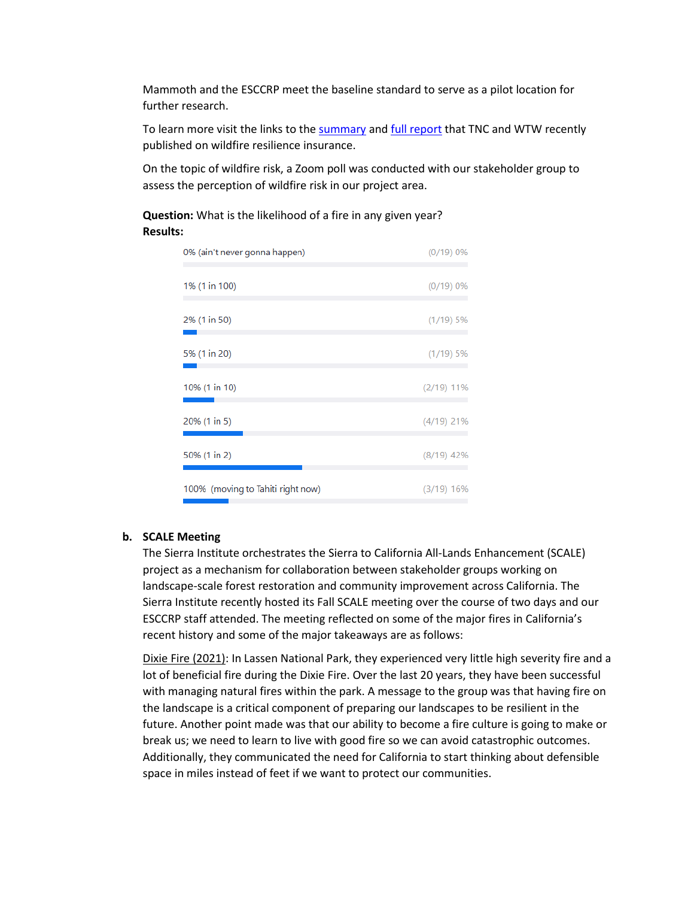Mammoth and the ESCCRP meet the baseline standard to serve as a pilot location for further research.

To learn more visit the links to the [summary](https://www.nature.org/content/dam/tnc/nature/en/documents/FINALwildfireresilienceinsurancesummaryofinsights6.27.21PAGES.pdf) and [full report](https://www.nature.org/content/dam/tnc/nature/en/documents/FINALwildfireresilienceinsurance6.27.21.pdf) that TNC and WTW recently published on wildfire resilience insurance.

On the topic of wildfire risk, a Zoom poll was conducted with our stakeholder group to assess the perception of wildfire risk in our project area.

**Question:** What is the likelihood of a fire in any given year? **Results:**

| 0% (ain't never gonna happen)     | (0/19) 0%    |
|-----------------------------------|--------------|
| 1% (1 in 100)                     | (0/19) 0%    |
| 2% (1 in 50)                      | $(1/19)$ 5%  |
| 5% (1 in 20)                      | $(1/19)$ 5%  |
| 10% (1 in 10)                     | $(2/19)$ 11% |
| 20% (1 in 5)                      | $(4/19)$ 21% |
| 50% (1 in 2)                      | $(8/19)$ 42% |
| 100% (moving to Tahiti right now) | $(3/19)$ 16% |

#### **b. SCALE Meeting**

The Sierra Institute orchestrates the Sierra to California All-Lands Enhancement (SCALE) project as a mechanism for collaboration between stakeholder groups working on landscape-scale forest restoration and community improvement across California. The Sierra Institute recently hosted its Fall SCALE meeting over the course of two days and our ESCCRP staff attended. The meeting reflected on some of the major fires in California's recent history and some of the major takeaways are as follows:

Dixie Fire (2021): In Lassen National Park, they experienced very little high severity fire and a lot of beneficial fire during the Dixie Fire. Over the last 20 years, they have been successful with managing natural fires within the park. A message to the group was that having fire on the landscape is a critical component of preparing our landscapes to be resilient in the future. Another point made was that our ability to become a fire culture is going to make or break us; we need to learn to live with good fire so we can avoid catastrophic outcomes. Additionally, they communicated the need for California to start thinking about defensible space in miles instead of feet if we want to protect our communities.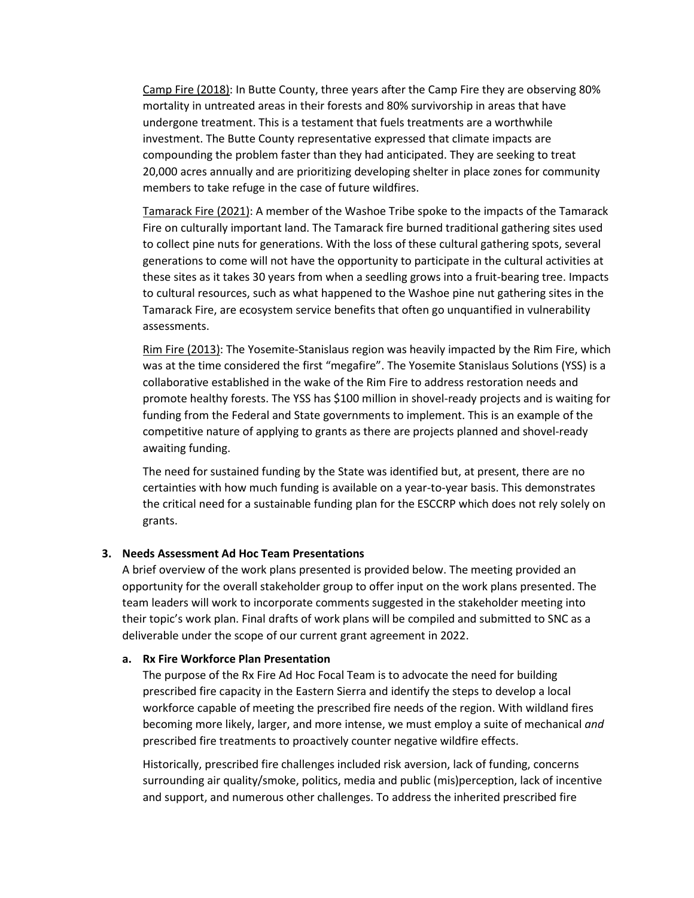Camp Fire (2018): In Butte County, three years after the Camp Fire they are observing 80% mortality in untreated areas in their forests and 80% survivorship in areas that have undergone treatment. This is a testament that fuels treatments are a worthwhile investment. The Butte County representative expressed that climate impacts are compounding the problem faster than they had anticipated. They are seeking to treat 20,000 acres annually and are prioritizing developing shelter in place zones for community members to take refuge in the case of future wildfires.

Tamarack Fire (2021): A member of the Washoe Tribe spoke to the impacts of the Tamarack Fire on culturally important land. The Tamarack fire burned traditional gathering sites used to collect pine nuts for generations. With the loss of these cultural gathering spots, several generations to come will not have the opportunity to participate in the cultural activities at these sites as it takes 30 years from when a seedling grows into a fruit-bearing tree. Impacts to cultural resources, such as what happened to the Washoe pine nut gathering sites in the Tamarack Fire, are ecosystem service benefits that often go unquantified in vulnerability assessments.

Rim Fire (2013): The Yosemite-Stanislaus region was heavily impacted by the Rim Fire, which was at the time considered the first "megafire". The Yosemite Stanislaus Solutions (YSS) is a collaborative established in the wake of the Rim Fire to address restoration needs and promote healthy forests. The YSS has \$100 million in shovel-ready projects and is waiting for funding from the Federal and State governments to implement. This is an example of the competitive nature of applying to grants as there are projects planned and shovel-ready awaiting funding.

The need for sustained funding by the State was identified but, at present, there are no certainties with how much funding is available on a year-to-year basis. This demonstrates the critical need for a sustainable funding plan for the ESCCRP which does not rely solely on grants.

#### **3. Needs Assessment Ad Hoc Team Presentations**

A brief overview of the work plans presented is provided below. The meeting provided an opportunity for the overall stakeholder group to offer input on the work plans presented. The team leaders will work to incorporate comments suggested in the stakeholder meeting into their topic's work plan. Final drafts of work plans will be compiled and submitted to SNC as a deliverable under the scope of our current grant agreement in 2022.

#### **a. Rx Fire Workforce Plan Presentation**

The purpose of the Rx Fire Ad Hoc Focal Team is to advocate the need for building prescribed fire capacity in the Eastern Sierra and identify the steps to develop a local workforce capable of meeting the prescribed fire needs of the region. With wildland fires becoming more likely, larger, and more intense, we must employ a suite of mechanical *and* prescribed fire treatments to proactively counter negative wildfire effects.

Historically, prescribed fire challenges included risk aversion, lack of funding, concerns surrounding air quality/smoke, politics, media and public (mis)perception, lack of incentive and support, and numerous other challenges. To address the inherited prescribed fire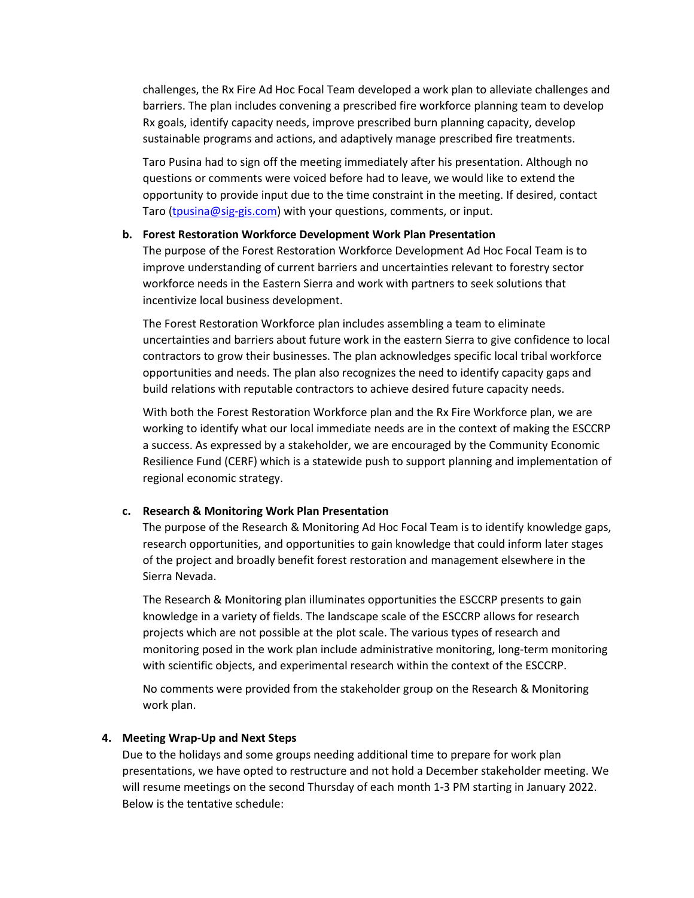challenges, the Rx Fire Ad Hoc Focal Team developed a work plan to alleviate challenges and barriers. The plan includes convening a prescribed fire workforce planning team to develop Rx goals, identify capacity needs, improve prescribed burn planning capacity, develop sustainable programs and actions, and adaptively manage prescribed fire treatments.

Taro Pusina had to sign off the meeting immediately after his presentation. Although no questions or comments were voiced before had to leave, we would like to extend the opportunity to provide input due to the time constraint in the meeting. If desired, contact Taro [\(tpusina@sig-gis.com\)](mailto:tpusina@sig-gis.com) with your questions, comments, or input.

#### **b. Forest Restoration Workforce Development Work Plan Presentation**

The purpose of the Forest Restoration Workforce Development Ad Hoc Focal Team is to improve understanding of current barriers and uncertainties relevant to forestry sector workforce needs in the Eastern Sierra and work with partners to seek solutions that incentivize local business development.

The Forest Restoration Workforce plan includes assembling a team to eliminate uncertainties and barriers about future work in the eastern Sierra to give confidence to local contractors to grow their businesses. The plan acknowledges specific local tribal workforce opportunities and needs. The plan also recognizes the need to identify capacity gaps and build relations with reputable contractors to achieve desired future capacity needs.

With both the Forest Restoration Workforce plan and the Rx Fire Workforce plan, we are working to identify what our local immediate needs are in the context of making the ESCCRP a success. As expressed by a stakeholder, we are encouraged by the Community Economic Resilience Fund (CERF) which is a statewide push to support planning and implementation of regional economic strategy.

#### **c. Research & Monitoring Work Plan Presentation**

The purpose of the Research & Monitoring Ad Hoc Focal Team is to identify knowledge gaps, research opportunities, and opportunities to gain knowledge that could inform later stages of the project and broadly benefit forest restoration and management elsewhere in the Sierra Nevada.

The Research & Monitoring plan illuminates opportunities the ESCCRP presents to gain knowledge in a variety of fields. The landscape scale of the ESCCRP allows for research projects which are not possible at the plot scale. The various types of research and monitoring posed in the work plan include administrative monitoring, long-term monitoring with scientific objects, and experimental research within the context of the ESCCRP.

No comments were provided from the stakeholder group on the Research & Monitoring work plan.

#### **4. Meeting Wrap-Up and Next Steps**

Due to the holidays and some groups needing additional time to prepare for work plan presentations, we have opted to restructure and not hold a December stakeholder meeting. We will resume meetings on the second Thursday of each month 1-3 PM starting in January 2022. Below is the tentative schedule: